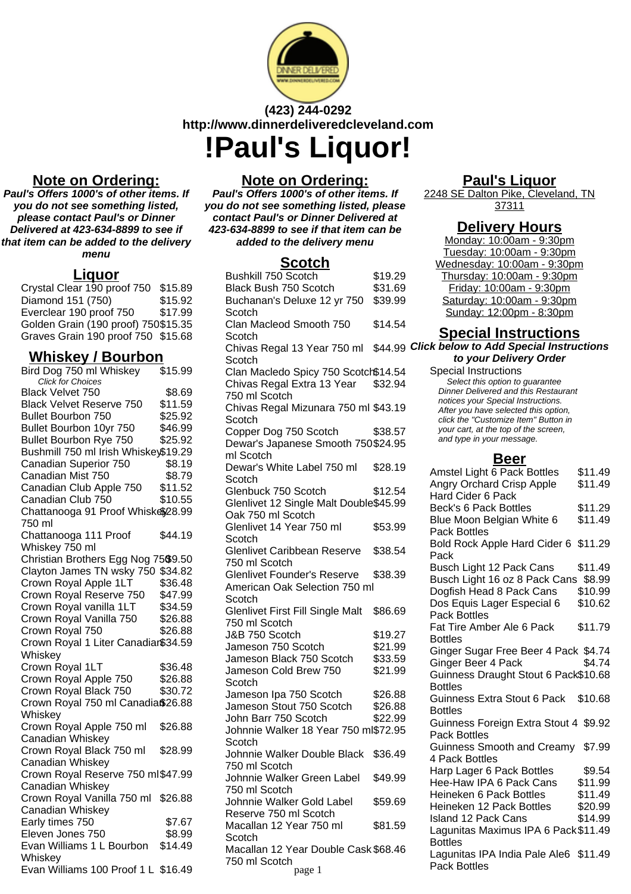

# **(423) 244-0292 http://www.dinnerdeliveredcleveland.com !Paul's Liquor!**

# **Note on Ordering:**

**Paul's Offers 1000's of other items. If you do not see something listed, please contact Paul's or Dinner Delivered at 423-634-8899 to see if that item can be added to the delivery menu**

# **Liquor**

Crystal Clear 190 proof 750 \$15.89 Diamond 151 (750) \$15.92 Everclear 190 proof 750 \$17.99 Golden Grain (190 proof) 750\$15.35 Graves Grain 190 proof 750 \$15.68

# **Whiskey / Bourbon**

| Bird Dog 750 ml Whiskey                      | \$15.99 |
|----------------------------------------------|---------|
| Click for Choices                            |         |
| Black Velvet 750                             | \$8.69  |
| <b>Black Velvet Reserve 750</b>              | \$11.59 |
| <b>Bullet Bourbon 750</b>                    | \$25.92 |
| Bullet Bourbon 10yr 750                      | \$46.99 |
| Bullet Bourbon Rye 750                       | \$25.92 |
| Bushmill 750 ml Irish Whiskey\$19.29         |         |
| Canadian Superior 750                        | \$8.19  |
| Canadian Mist 750                            | \$8.79  |
| Canadian Club Apple 750<br>Canadian Club 750 | \$11.52 |
|                                              | \$10.55 |
| Chattanooga 91 Proof Whiske\$28.99           |         |
| 750 ml                                       |         |
| Chattanooga 111 Proof                        | \$44.19 |
| Whiskey 750 ml                               |         |
| Christian Brothers Egg Nog 75\$9.50          |         |
| Clayton James TN wsky 750 \$34.82            |         |
| Crown Royal Apple 1LT                        | \$36.48 |
| Crown Royal Reserve 750                      | \$47.99 |
| Crown Royal vanilla 1LT                      | \$34.59 |
| Crown Royal Vanilla 750                      | \$26.88 |
| Crown Royal 750                              | \$26.88 |
| Crown Royal 1 Liter Canadiar\$34.59          |         |
| Whiskey                                      |         |
| Crown Royal 1LT                              | \$36.48 |
| Crown Royal Apple 750                        | \$26.88 |
| Crown Royal Black 750                        | \$30.72 |
| Crown Royal 750 ml Canadia\$26.88            |         |
| Whiskey                                      |         |
| Crown Royal Apple 750 ml                     | \$26.88 |
| Canadian Whiskey                             |         |
| Crown Royal Black 750 ml                     | \$28.99 |
| Canadian Whiskey                             |         |
| Crown Royal Reserve 750 ml\$47.99            |         |
| Canadian Whiskey                             |         |
| Crown Royal Vanilla 750 ml                   | \$26.88 |
| Canadian Whiskey                             |         |
| Early times 750                              | \$7.67  |
| Eleven Jones 750                             | \$8.99  |
| Evan Williams 1 L Bourbon                    | \$14.49 |
| Whiskey                                      |         |
| Evan Williams 100 Proof 1 L \$16.49          |         |
|                                              |         |

# **Note on Ordering:**

**Paul's Offers 1000's of other items. If you do not see something listed, please contact Paul's or Dinner Delivered at 423-634-8899 to see if that item can be added to the delivery menu**

### **Scotch**

| Bushkill 750 Scotch                     | \$19.29 |
|-----------------------------------------|---------|
| Black Bush 750 Scotch                   | \$31.69 |
| Buchanan's Deluxe 12 yr 750             | \$39.99 |
| Scotch                                  |         |
| Clan Macleod Smooth 750                 | \$14.54 |
|                                         |         |
| Scotch                                  |         |
| Chivas Regal 13 Year 750 ml             | \$44.99 |
| Scotch                                  |         |
| Clan Macledo Spicy 750 Scotch\$14.54    |         |
| Chivas Regal Extra 13 Year              | \$32.94 |
| 750 ml Scotch                           |         |
| Chivas Regal Mizunara 750 ml \$43.19    |         |
| Scotch                                  |         |
| Copper Dog 750 Scotch                   | \$38.57 |
| Dewar's Japanese Smooth 750\$24.95      |         |
| ml Scotch                               |         |
|                                         |         |
| Dewar's White Label 750 ml              | \$28.19 |
| Scotch                                  |         |
| Glenbuck 750 Scotch                     | \$12.54 |
| Glenlivet 12 Single Malt Double\$45.99  |         |
| Oak 750 ml Scotch                       |         |
| Glenlivet 14 Year 750 ml                | \$53.99 |
| Scotch                                  |         |
| Glenlivet Caribbean Reserve             | \$38.54 |
| 750 ml Scotch                           |         |
| <b>Glenlivet Founder's Reserve</b>      | \$38.39 |
| American Oak Selection 750 ml           |         |
| Scotch                                  |         |
|                                         |         |
| <b>Glenlivet First Fill Single Malt</b> | \$86.69 |
| 750 ml Scotch                           |         |
| J&B 750 Scotch                          | \$19.27 |
| Jameson 750 Scotch                      | \$21.99 |
| Jameson Black 750 Scotch                | \$33.59 |
| Jameson Cold Brew 750                   | \$21.99 |
| Scotch                                  |         |
| Jameson Ipa 750 Scotch                  | \$26.88 |
| Jameson Stout 750 Scotch                | \$26.88 |
| John Barr 750 Scotch                    | \$22.99 |
| Johnnie Walker 18 Year 750 ml\$72.95    |         |
| Scotch                                  |         |
| Johnnie Walker Double Black             | \$36.49 |
| 750 ml Scotch                           |         |
|                                         |         |
| Johnnie Walker Green Label              | \$49.99 |
| 750 ml Scotch                           |         |
| Johnnie Walker Gold Label               | \$59.69 |
| Reserve 750 ml Scotch                   |         |
| Macallan 12 Year 750 ml                 | \$81.59 |
| Scotch                                  |         |
| Macallan 12 Year Double Cask \$68.46    |         |
| 750 ml Scotch                           |         |
| page 1                                  |         |

# **Paul's Liquor**

2248 SE Dalton Pike, Cleveland, TN 37311

#### **Delivery Hours**

Monday: 10:00am - 9:30pm Tuesday: 10:00am - 9:30pm Wednesday: 10:00am - 9:30pm Thursday: 10:00am - 9:30pm Friday: 10:00am - 9:30pm Saturday: 10:00am - 9:30pm Sunday: 12:00pm - 8:30pm

# **Special Instructions**

**Click below to Add Special Instructions to your Delivery Order**

Special Instructions Select this option to quarantee Dinner Delivered and this Restaurant notices your Special Instructions. After you have selected this option, click the "Customize Item" Button in your cart, at the top of the screen, and type in your message.

#### **Beer**

| Amstel Light 6 Pack Bottles           | \$11.49 |
|---------------------------------------|---------|
| Angry Orchard Crisp Apple             | \$11.49 |
| <b>Hard Cider 6 Pack</b>              |         |
| <b>Beck's 6 Pack Bottles</b>          | \$11.29 |
| Blue Moon Belgian White 6             | \$11.49 |
| <b>Pack Bottles</b>                   |         |
| Bold Rock Apple Hard Cider 6 \$11.29  |         |
| Pack                                  |         |
| Busch Light 12 Pack Cans              | \$11.49 |
| Busch Light 16 oz 8 Pack Cans \$8.99  |         |
| Dogfish Head 8 Pack Cans              | \$10.99 |
| Dos Equis Lager Especial 6            | \$10.62 |
| <b>Pack Bottles</b>                   |         |
| Fat Tire Amber Ale 6 Pack             | \$11.79 |
| <b>Bottles</b>                        |         |
| Ginger Sugar Free Beer 4 Pack \$4.74  |         |
| Ginger Beer 4 Pack                    | \$4.74  |
| Guinness Draught Stout 6 Pack\$10.68  |         |
| <b>Bottles</b>                        |         |
| <b>Guinness Extra Stout 6 Pack</b>    | \$10.68 |
| <b>Bottles</b>                        |         |
| Guinness Foreign Extra Stout 4 \$9.92 |         |
| <b>Pack Bottles</b>                   |         |
| Guinness Smooth and Creamy \$7.99     |         |
| 4 Pack Bottles                        |         |
| Harp Lager 6 Pack Bottles             | \$9.54  |
| Hee-Haw IPA 6 Pack Cans               | \$11.99 |
| Heineken 6 Pack Bottles               | \$11.49 |
| Heineken 12 Pack Bottles              |         |
|                                       | \$20.99 |
| <b>Island 12 Pack Cans</b>            | \$14.99 |
| Lagunitas Maximus IPA 6 Pack \$11.49  |         |
| <b>Bottles</b>                        |         |
| Lagunitas IPA India Pale Ale6 \$11.49 |         |
| <b>Pack Bottles</b>                   |         |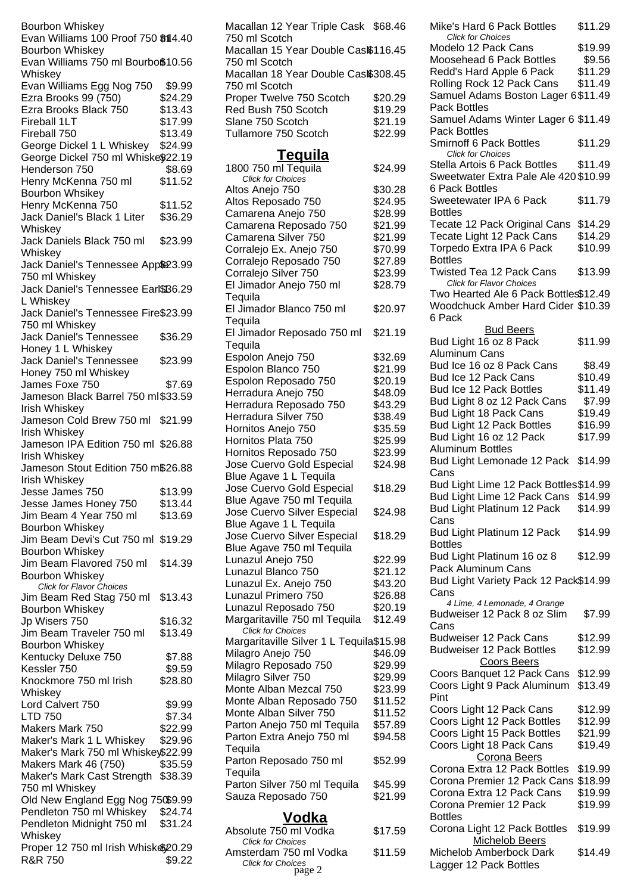Bourbon Whiskey Evan Williams 100 Proof 750 \$14.40 Bourbon Whiskey Evan Williams 750 ml Bourboß10.56 Whiskey Evan Williams Egg Nog 750 \$9.99 Ezra Brooks 99 (750) \$24.29 Ezra Brooks Black 750 \$13.43 Fireball 1LT \$17.99 Fireball 750 \$13.49 George Dickel 1 L Whiskey \$24.99 George Dickel 750 ml Whiske\$22.19 Henderson 750 \$8.69 Henry McKenna 750 ml Bourbon Whsikey \$11.52 Henry McKenna 750 \$11.52 Jack Daniel's Black 1 Liter **Whiskey** \$36.29 Jack Daniels Black 750 ml **Whiskey** \$23.99 Jack Daniel's Tennessee App\$23.99 750 ml Whiskey Jack Daniel's Tennessee Earl\$'B6.29 L Whiskey Jack Daniel's Tennessee Fire \$23.99 750 ml Whiskey Jack Daniel's Tennessee Honey 1 L Whiskey \$36.29 Jack Daniel's Tennessee Honey 750 ml Whiskey \$23.99 James Foxe 750 \$7.69 Jameson Black Barrel 750 ml \$33.59 Irish Whiskey Jameson Cold Brew 750 ml \$21.99 Irish Whiskey Jameson IPA Edition 750 ml \$26.88 Irish Whiskey Jameson Stout Edition 750 m\$26.88 Irish Whiskey Jesse James 750 \$13.99 Jesse James Honey 750 \$13.44 Jim Beam 4 Year 750 ml Bourbon Whiskey \$13.69 Jim Beam Devi's Cut 750 ml \$19.29 Bourbon Whiskey Jim Beam Flavored 750 ml Bourbon Whiskey \$14.39 Click for Flavor Choices Jim Beam Red Stag 750 ml Bourbon Whiskey \$13.43 Jp Wisers 750 \$16.32 Jim Beam Traveler 750 ml Bourbon Whiskey \$13.49 Kentucky Deluxe 750 \$7.88 Kessler 750 \$9.59 Knockmore 750 ml Irish Whiskey \$28.80 Lord Calvert 750 \$9.99 LTD 750 \$7.34 Makers Mark 750 \$22.99 Maker's Mark 1 L Whiskey \$29.96 Maker's Mark 750 ml Whiskey\$22.99 Makers Mark 46 (750) \$35.59 Maker's Mark Cast Strength \$38.39 750 ml Whiskey Old New England Egg Nog 750\$9.99 Pendleton 750 ml Whiskey \$24.74 Pendleton Midnight 750 ml Whiskey \$31.24 Proper 12 750 ml Irish Whiske\$20.29 R&R 750 \$9.22

Macallan 12 Year Triple Cask \$68.46 750 ml Scotch Macallan 15 Year Double Cas $$116.45$ 750 ml Scotch Macallan 18 Year Double Cas $$308.45$ 750 ml Scotch Proper Twelve 750 Scotch \$20.29 Red Bush 750 Scotch \$19.29 Slane 750 Scotch \$21.19 Tullamore 750 Scotch \$22.99 **Tequila** 1800 750 ml Tequila \$24.99 Click for Choices Altos Anejo 750 \$30.28 Altos Reposado 750 \$24.95 Camarena Anejo 750 \$28.99 Camarena Reposado 750 \$21.99 Camarena Silver 750 \$21.99 Corralejo Ex. Anejo 750 \$70.99 Corralejo Reposado 750 \$27.89 Corralejo Silver 750 \$23.99 El Jimador Anejo 750 ml **Tequila** \$28.79 El Jimador Blanco 750 ml **Tequila** \$20.97 El Jimador Reposado 750 ml **Tequila** \$21.19 Espolon Anejo 750 \$32.69 Espolon Blanco 750 \$21.99 Espolon Reposado 750 \$20.19 Herradura Anejo 750 \$48.09 Herradura Reposado 750 \$43.29 Herradura Silver 750 \$38.49 Hornitos Anejo 750 \$35.59 Hornitos Plata 750 \$25.99 Hornitos Reposado 750 \$23.99 Jose Cuervo Gold Especial Blue Agave 1 L Tequila \$24.98 Jose Cuervo Gold Especial Blue Agave 750 ml Tequila \$18.29 Jose Cuervo Silver Especial Blue Agave 1 L Tequila \$24.98 Jose Cuervo Silver Especial Blue Agave 750 ml Tequila \$18.29 Lunazul Anejo 750 \$22.99 Lunazul Blanco 750 \$21.12 Lunazul Ex. Anejo 750 \$43.20 Lunazul Primero 750 \$26.88 Lunazul Reposado 750 \$20.19 Margaritaville 750 ml Tequila \$12.49 Click for Choices Margaritaville Silver 1 L Tequila\$15.98 Milagro Anejo 750 \$46.09 Milagro Reposado 750 \$29.99 Milagro Silver 750 \$29.99 Monte Alban Mezcal 750 \$23.99 Monte Alban Reposado 750 \$11.52 Monte Alban Silver 750 \$11.52 Parton Anejo 750 ml Tequila \$57.89 Parton Extra Anejo 750 ml **Tequila** \$94.58 Parton Reposado 750 ml **Tequila** \$52.99 Parton Silver 750 ml Tequila \$45.99 Sauza Reposado 750 \$21.99 **Vodka** Absolute 750 ml Vodka \$17.59 Click for Choices Amsterdam 750 ml Vodka \$11.59 Click for Choices

page 2

Click for Choices Modelo 12 Pack Cans \$19.99 Moosehead 6 Pack Bottles \$9.56 Redd's Hard Apple 6 Pack \$11.29 Rolling Rock 12 Pack Cans \$11.49 Samuel Adams Boston Lager 6 \$11.49 Pack Bottles Samuel Adams Winter Lager 6 \$11.49 Pack Bottles Smirnoff 6 Pack Bottles \$11.29 Click for Choices Stella Artois 6 Pack Bottles \$11.49 Sweetwater Extra Pale Ale 420 \$10.99 6 Pack Bottles Sweetewater IPA 6 Pack Bottles \$11.79 Tecate 12 Pack Original Cans \$14.29 Tecate Light 12 Pack Cans \$14.29 Torpedo Extra IPA 6 Pack Bottles \$10.99 Twisted Tea 12 Pack Cans \$13.99 Click for Flavor Choices Two Hearted Ale 6 Pack Bottles\$12.49 Woodchuck Amber Hard Cider \$10.39 6 Pack **Bud Beers** Bud Light 16 oz 8 Pack Aluminum Cans \$11.99 Bud Ice 16 oz 8 Pack Cans \$8.49 Bud Ice 12 Pack Cans \$10.49 Bud Ice 12 Pack Bottles \$11.49 Bud Light 8 oz 12 Pack Cans \$7.99 Bud Light 18 Pack Cans \$19.49 Bud Light 12 Pack Bottles \$16.99 Bud Light 16 oz 12 Pack Aluminum Bottles \$17.99 Bud Light Lemonade 12 Pack \$14.99 Cans Bud Light Lime 12 Pack Bottles\$14.99 Bud Light Lime 12 Pack Cans \$14.99 Bud Light Platinum 12 Pack Cans \$14.99 Bud Light Platinum 12 Pack Bottles \$14.99 Bud Light Platinum 16 oz 8 Pack Aluminum Cans \$12.99 Bud Light Variety Pack 12 Pack \$14.99 Cans 4 Lime, 4 Lemonade, 4 Orange Budweiser 12 Pack 8 oz Slim Cans \$7.99 Budweiser 12 Pack Cans \$12.99 Budweiser 12 Pack Bottles \$12.99 Coors Beers Coors Banquet 12 Pack Cans \$12.99 Coors Light 9 Pack Aluminum Pint \$13.49 Coors Light 12 Pack Cans \$12.99 Coors Light 12 Pack Bottles \$12.99 Coors Light 15 Pack Bottles \$21.99 Coors Light 18 Pack Cans \$19.49 Corona Beers Corona Extra 12 Pack Bottles \$19.99 Corona Premier 12 Pack Cans \$18.99 Corona Extra 12 Pack Cans \$19.99 Corona Premier 12 Pack Bottles \$19.99 Corona Light 12 Pack Bottles \$19.99 Michelob Beers Michelob Amberbock Dark Lagger 12 Pack Bottles \$14.49

Mike's Hard 6 Pack Bottles \$11.29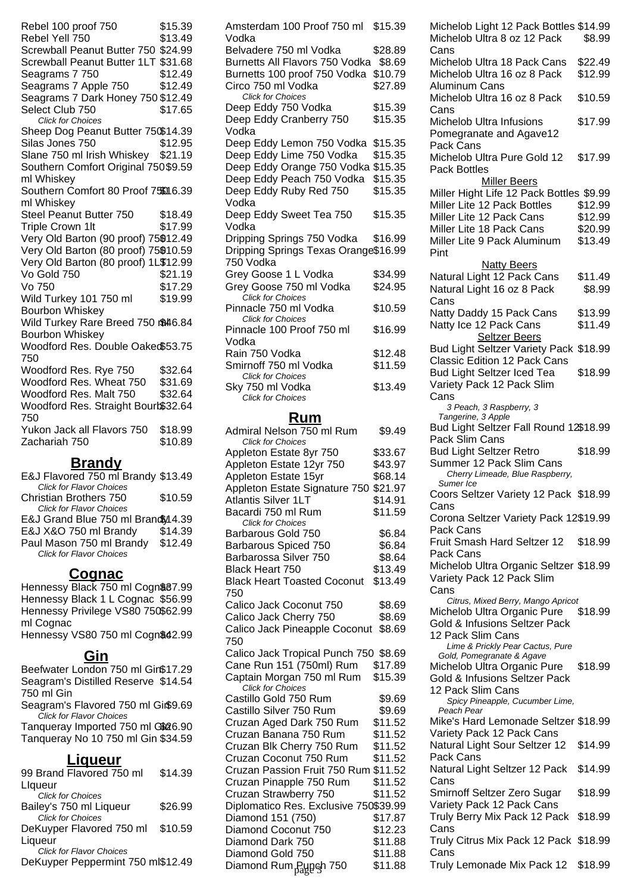Rebel 100 proof 750 \$15.39 Rebel Yell 750 \$13.49 Screwball Peanut Butter 750 \$24.99 Screwball Peanut Butter 1LT \$31.68 Seagrams 7 750 \$12.49 Seagrams 7 Apple 750 \$12.49 Seagrams 7 Dark Honey 750 \$12.49 Select Club 750 \$17.65 Click for Choices Sheep Dog Peanut Butter 750\$14.39 Silas Jones 750 \$12.95 Slane 750 ml Irish Whiskey \$21.19 Southern Comfort Original 750 \$9.59 ml Whiskey Southern Comfort 80 Proof 750016.39 ml Whiskey Steel Peanut Butter 750 \$18.49 Triple Crown 1lt \$17.99 Very Old Barton (90 proof) 75\$12.49 Very Old Barton (80 proof) 75\$10.59 Very Old Barton (80 proof) 1L\$12.99 Vo Gold 750 \$21.19  $V<sub>0</sub>$  750  $$17.29$ Wild Turkey 101 750 ml Bourbon Whiskey \$19.99 Wild Turkey Rare Breed 750 m\$46.84 Bourbon Whiskey Woodford Res. Double Oaked \$53.75 750 Woodford Res. Rye 750 \$32.64 Woodford Res. Wheat 750 \$31.69 Woodford Res. Malt 750 \$32.64 Woodford Res. Straight Bourb\$32.64 750 Yukon Jack all Flavors 750 \$18.99 Zachariah 750 \$10.89

#### **Brandy**

E&J Flavored 750 ml Brandy \$13.49 Click for Flavor Choices Christian Brothers 750 \$10.59 Click for Flavor Choices E&J Grand Blue 750 ml Brand \$14.39 E&J X&O 750 ml Brandy \$14.39 Paul Mason 750 ml Brandy \$12.49 Click for Flavor Choices

#### **Cognac**

Hennessy Black 750 ml Cogn \$87.99 Hennessy Black 1 L Cognac \$56.99 Hennessy Privilege VS80 750 \$62.99 ml Cognac

Hennessy VS80 750 ml Cogn\$42.99

#### **Gin**

Beefwater London 750 ml Gin\$17.29 Seagram's Distilled Reserve \$14.54 750 ml Gin Seagram's Flavored 750 ml Gin\$9.69 Click for Flavor Choices Tanqueray Imported 750 ml G\$26.90 Tanqueray No 10 750 ml Gin \$34.59 **Liqueur** 99 Brand Flavored 750 ml **Llqueur** \$14.39 Click for Choices Bailey's 750 ml Liqueur \$26.99 Click for Choices DeKuyper Flavored 750 ml Liqueur \$10.59

Click for Flavor Choices

DeKuyper Peppermint 750 ml\$12.49

| Amsterdam 100 Proof 750 ml<br>Vodka  | \$15.39 |
|--------------------------------------|---------|
| Belvadere 750 ml Vodka               | \$28.89 |
| Burnetts All Flavors 750 Vodka       | \$8.69  |
| Burnetts 100 proof 750 Vodka         | \$10.79 |
| Circo 750 ml Vodka                   | \$27.89 |
| <b>Click for Choices</b>             |         |
| Deep Eddy 750 Vodka                  | \$15.39 |
| Deep Eddy Cranberry 750              | \$15.35 |
| Vodka                                |         |
| Deep Eddy Lemon 750 Vodka            | \$15.35 |
| Deep Eddy Lime 750 Vodka             | \$15.35 |
| Deep Eddy Orange 750 Vodka           | \$15.35 |
| Deep Eddy Peach 750 Vodka            | \$15.35 |
| Deep Eddy Ruby Red 750               | \$15.35 |
| Vodka                                |         |
| Deep Eddy Sweet Tea 750              | \$15.35 |
| Vodka                                |         |
| Dripping Springs 750 Vodka           | \$16.99 |
| Dripping Springs Texas Orange\$16.99 |         |
| 750 Vodka                            |         |
| Grey Goose 1 L Vodka                 | \$34.99 |
| Grey Goose 750 ml Vodka              | \$24.95 |
| <b>Click for Choices</b>             |         |
| Pinnacle 750 ml Vodka                | \$10.59 |
| <b>Click for Choices</b>             |         |
| Pinnacle 100 Proof 750 ml            | \$16.99 |
| Vodka                                |         |
| Rain 750 Vodka                       | \$12.48 |
| Smirnoff 750 ml Vodka                | \$11.59 |
| <b>Click for Choices</b>             |         |
| Sky 750 ml Vodka                     | \$13.49 |
| Click for Choices                    |         |

#### **Rum**

| Pack Slim Cans<br><b>Click for Choices</b><br><b>Bud Light Seltzer Retro</b><br>\$33.67<br>Appleton Estate 8yr 750<br>Summer 12 Pack Slim Cans<br>\$43.97<br>Appleton Estate 12yr 750<br>Cherry Limeade, Blue Raspberry,<br>Appleton Estate 15yr<br>\$68.14<br>Sumer Ice<br>Appleton Estate Signature 750<br>\$21.97<br>Coors Seltzer Variety 12 Pack \$18.99<br><b>Atlantis Silver 1LT</b><br>\$14.91<br>Cans<br>Bacardi 750 ml Rum<br>\$11.59<br>Corona Seltzer Variety Pack 12\$19.99<br><b>Click for Choices</b><br>Pack Cans<br>Barbarous Gold 750<br>\$6.84<br>Fruit Smash Hard Seltzer 12<br>Barbarous Spiced 750<br>\$6.84<br>Pack Cans<br>\$8.64<br>Barbarossa Silver 750<br>Michelob Ultra Organic Seltzer \$18.99<br>Black Heart 750<br>\$13.49<br>Variety Pack 12 Pack Slim<br>\$13.49<br><b>Black Heart Toasted Coconut</b><br>Cans<br>750<br>Citrus, Mixed Berry, Mango Apricot<br>Calico Jack Coconut 750<br>\$8.69<br>Michelob Ultra Organic Pure<br>Calico Jack Cherry 750<br>\$8.69<br>Gold & Infusions Seltzer Pack<br>Calico Jack Pineapple Coconut<br>\$8.69<br>12 Pack Slim Cans<br>750<br>Lime & Prickly Pear Cactus, Pure<br>Calico Jack Tropical Punch 750 \$8.69<br>Gold, Pomegranate & Agave<br>Cane Run 151 (750ml) Rum<br>\$17.89<br>Michelob Ultra Organic Pure<br>\$15.39<br>Captain Morgan 750 ml Rum<br><b>Gold &amp; Infusions Seltzer Pack</b><br><b>Click for Choices</b><br>12 Pack Slim Cans<br>Castillo Gold 750 Rum<br>\$9.69<br>Spicy Pineapple, Cucumber Lime,<br>Castillo Silver 750 Rum<br>\$9.69<br>Peach Pear<br>Mike's Hard Lemonade Seltzer \$18.99<br>Cruzan Aged Dark 750 Rum<br>\$11.52<br>Variety Pack 12 Pack Cans<br>Cruzan Banana 750 Rum<br>\$11.52 | \$18.99<br>\$18.99<br>\$18.99 |
|-------------------------------------------------------------------------------------------------------------------------------------------------------------------------------------------------------------------------------------------------------------------------------------------------------------------------------------------------------------------------------------------------------------------------------------------------------------------------------------------------------------------------------------------------------------------------------------------------------------------------------------------------------------------------------------------------------------------------------------------------------------------------------------------------------------------------------------------------------------------------------------------------------------------------------------------------------------------------------------------------------------------------------------------------------------------------------------------------------------------------------------------------------------------------------------------------------------------------------------------------------------------------------------------------------------------------------------------------------------------------------------------------------------------------------------------------------------------------------------------------------------------------------------------------------------------------------------------------------------------------------------------------------------------------------------------------------------|-------------------------------|
|                                                                                                                                                                                                                                                                                                                                                                                                                                                                                                                                                                                                                                                                                                                                                                                                                                                                                                                                                                                                                                                                                                                                                                                                                                                                                                                                                                                                                                                                                                                                                                                                                                                                                                             |                               |
|                                                                                                                                                                                                                                                                                                                                                                                                                                                                                                                                                                                                                                                                                                                                                                                                                                                                                                                                                                                                                                                                                                                                                                                                                                                                                                                                                                                                                                                                                                                                                                                                                                                                                                             |                               |
|                                                                                                                                                                                                                                                                                                                                                                                                                                                                                                                                                                                                                                                                                                                                                                                                                                                                                                                                                                                                                                                                                                                                                                                                                                                                                                                                                                                                                                                                                                                                                                                                                                                                                                             |                               |
|                                                                                                                                                                                                                                                                                                                                                                                                                                                                                                                                                                                                                                                                                                                                                                                                                                                                                                                                                                                                                                                                                                                                                                                                                                                                                                                                                                                                                                                                                                                                                                                                                                                                                                             |                               |
|                                                                                                                                                                                                                                                                                                                                                                                                                                                                                                                                                                                                                                                                                                                                                                                                                                                                                                                                                                                                                                                                                                                                                                                                                                                                                                                                                                                                                                                                                                                                                                                                                                                                                                             |                               |
|                                                                                                                                                                                                                                                                                                                                                                                                                                                                                                                                                                                                                                                                                                                                                                                                                                                                                                                                                                                                                                                                                                                                                                                                                                                                                                                                                                                                                                                                                                                                                                                                                                                                                                             |                               |
|                                                                                                                                                                                                                                                                                                                                                                                                                                                                                                                                                                                                                                                                                                                                                                                                                                                                                                                                                                                                                                                                                                                                                                                                                                                                                                                                                                                                                                                                                                                                                                                                                                                                                                             |                               |
|                                                                                                                                                                                                                                                                                                                                                                                                                                                                                                                                                                                                                                                                                                                                                                                                                                                                                                                                                                                                                                                                                                                                                                                                                                                                                                                                                                                                                                                                                                                                                                                                                                                                                                             |                               |
|                                                                                                                                                                                                                                                                                                                                                                                                                                                                                                                                                                                                                                                                                                                                                                                                                                                                                                                                                                                                                                                                                                                                                                                                                                                                                                                                                                                                                                                                                                                                                                                                                                                                                                             |                               |
|                                                                                                                                                                                                                                                                                                                                                                                                                                                                                                                                                                                                                                                                                                                                                                                                                                                                                                                                                                                                                                                                                                                                                                                                                                                                                                                                                                                                                                                                                                                                                                                                                                                                                                             |                               |
|                                                                                                                                                                                                                                                                                                                                                                                                                                                                                                                                                                                                                                                                                                                                                                                                                                                                                                                                                                                                                                                                                                                                                                                                                                                                                                                                                                                                                                                                                                                                                                                                                                                                                                             |                               |
|                                                                                                                                                                                                                                                                                                                                                                                                                                                                                                                                                                                                                                                                                                                                                                                                                                                                                                                                                                                                                                                                                                                                                                                                                                                                                                                                                                                                                                                                                                                                                                                                                                                                                                             |                               |
|                                                                                                                                                                                                                                                                                                                                                                                                                                                                                                                                                                                                                                                                                                                                                                                                                                                                                                                                                                                                                                                                                                                                                                                                                                                                                                                                                                                                                                                                                                                                                                                                                                                                                                             |                               |
|                                                                                                                                                                                                                                                                                                                                                                                                                                                                                                                                                                                                                                                                                                                                                                                                                                                                                                                                                                                                                                                                                                                                                                                                                                                                                                                                                                                                                                                                                                                                                                                                                                                                                                             |                               |
|                                                                                                                                                                                                                                                                                                                                                                                                                                                                                                                                                                                                                                                                                                                                                                                                                                                                                                                                                                                                                                                                                                                                                                                                                                                                                                                                                                                                                                                                                                                                                                                                                                                                                                             |                               |
|                                                                                                                                                                                                                                                                                                                                                                                                                                                                                                                                                                                                                                                                                                                                                                                                                                                                                                                                                                                                                                                                                                                                                                                                                                                                                                                                                                                                                                                                                                                                                                                                                                                                                                             |                               |
|                                                                                                                                                                                                                                                                                                                                                                                                                                                                                                                                                                                                                                                                                                                                                                                                                                                                                                                                                                                                                                                                                                                                                                                                                                                                                                                                                                                                                                                                                                                                                                                                                                                                                                             |                               |
|                                                                                                                                                                                                                                                                                                                                                                                                                                                                                                                                                                                                                                                                                                                                                                                                                                                                                                                                                                                                                                                                                                                                                                                                                                                                                                                                                                                                                                                                                                                                                                                                                                                                                                             |                               |
|                                                                                                                                                                                                                                                                                                                                                                                                                                                                                                                                                                                                                                                                                                                                                                                                                                                                                                                                                                                                                                                                                                                                                                                                                                                                                                                                                                                                                                                                                                                                                                                                                                                                                                             | \$18.99                       |
|                                                                                                                                                                                                                                                                                                                                                                                                                                                                                                                                                                                                                                                                                                                                                                                                                                                                                                                                                                                                                                                                                                                                                                                                                                                                                                                                                                                                                                                                                                                                                                                                                                                                                                             |                               |
|                                                                                                                                                                                                                                                                                                                                                                                                                                                                                                                                                                                                                                                                                                                                                                                                                                                                                                                                                                                                                                                                                                                                                                                                                                                                                                                                                                                                                                                                                                                                                                                                                                                                                                             |                               |
|                                                                                                                                                                                                                                                                                                                                                                                                                                                                                                                                                                                                                                                                                                                                                                                                                                                                                                                                                                                                                                                                                                                                                                                                                                                                                                                                                                                                                                                                                                                                                                                                                                                                                                             |                               |
|                                                                                                                                                                                                                                                                                                                                                                                                                                                                                                                                                                                                                                                                                                                                                                                                                                                                                                                                                                                                                                                                                                                                                                                                                                                                                                                                                                                                                                                                                                                                                                                                                                                                                                             |                               |
|                                                                                                                                                                                                                                                                                                                                                                                                                                                                                                                                                                                                                                                                                                                                                                                                                                                                                                                                                                                                                                                                                                                                                                                                                                                                                                                                                                                                                                                                                                                                                                                                                                                                                                             |                               |
|                                                                                                                                                                                                                                                                                                                                                                                                                                                                                                                                                                                                                                                                                                                                                                                                                                                                                                                                                                                                                                                                                                                                                                                                                                                                                                                                                                                                                                                                                                                                                                                                                                                                                                             |                               |
| Natural Light Sour Seltzer 12<br>Cruzan Blk Cherry 750 Rum<br>\$11.52                                                                                                                                                                                                                                                                                                                                                                                                                                                                                                                                                                                                                                                                                                                                                                                                                                                                                                                                                                                                                                                                                                                                                                                                                                                                                                                                                                                                                                                                                                                                                                                                                                       | \$14.99                       |
| Pack Cans<br>Cruzan Coconut 750 Rum<br>\$11.52                                                                                                                                                                                                                                                                                                                                                                                                                                                                                                                                                                                                                                                                                                                                                                                                                                                                                                                                                                                                                                                                                                                                                                                                                                                                                                                                                                                                                                                                                                                                                                                                                                                              |                               |
| Natural Light Seltzer 12 Pack<br>Cruzan Passion Fruit 750 Rum \$11.52                                                                                                                                                                                                                                                                                                                                                                                                                                                                                                                                                                                                                                                                                                                                                                                                                                                                                                                                                                                                                                                                                                                                                                                                                                                                                                                                                                                                                                                                                                                                                                                                                                       | \$14.99                       |
| Cans<br>Cruzan Pinapple 750 Rum<br>\$11.52                                                                                                                                                                                                                                                                                                                                                                                                                                                                                                                                                                                                                                                                                                                                                                                                                                                                                                                                                                                                                                                                                                                                                                                                                                                                                                                                                                                                                                                                                                                                                                                                                                                                  |                               |
| Smirnoff Seltzer Zero Sugar<br>Cruzan Strawberry 750<br>\$11.52                                                                                                                                                                                                                                                                                                                                                                                                                                                                                                                                                                                                                                                                                                                                                                                                                                                                                                                                                                                                                                                                                                                                                                                                                                                                                                                                                                                                                                                                                                                                                                                                                                             | \$18.99                       |
| Variety Pack 12 Pack Cans<br>Diplomatico Res. Exclusive 750\$39.99                                                                                                                                                                                                                                                                                                                                                                                                                                                                                                                                                                                                                                                                                                                                                                                                                                                                                                                                                                                                                                                                                                                                                                                                                                                                                                                                                                                                                                                                                                                                                                                                                                          |                               |
| Truly Berry Mix Pack 12 Pack<br>Diamond 151 (750)<br>\$17.87                                                                                                                                                                                                                                                                                                                                                                                                                                                                                                                                                                                                                                                                                                                                                                                                                                                                                                                                                                                                                                                                                                                                                                                                                                                                                                                                                                                                                                                                                                                                                                                                                                                | \$18.99                       |
| Cans<br>Diamond Coconut 750<br>\$12.23                                                                                                                                                                                                                                                                                                                                                                                                                                                                                                                                                                                                                                                                                                                                                                                                                                                                                                                                                                                                                                                                                                                                                                                                                                                                                                                                                                                                                                                                                                                                                                                                                                                                      |                               |
| Truly Citrus Mix Pack 12 Pack \$18.99<br>Diamond Dark 750<br>\$11.88                                                                                                                                                                                                                                                                                                                                                                                                                                                                                                                                                                                                                                                                                                                                                                                                                                                                                                                                                                                                                                                                                                                                                                                                                                                                                                                                                                                                                                                                                                                                                                                                                                        |                               |
| Cans<br>Diamond Gold 750<br>\$11.88                                                                                                                                                                                                                                                                                                                                                                                                                                                                                                                                                                                                                                                                                                                                                                                                                                                                                                                                                                                                                                                                                                                                                                                                                                                                                                                                                                                                                                                                                                                                                                                                                                                                         |                               |
| Truly Lemonade Mix Pack 12<br>Diamond Rum Daugoh 750<br>\$11.88                                                                                                                                                                                                                                                                                                                                                                                                                                                                                                                                                                                                                                                                                                                                                                                                                                                                                                                                                                                                                                                                                                                                                                                                                                                                                                                                                                                                                                                                                                                                                                                                                                             | \$18.99                       |

Michelob Light 12 Pack Bottles \$14.99 Michelob Ultra 8 oz 12 Pack Cans \$8.99 Michelob Ultra 18 Pack Cans \$22.49 Michelob Ultra 16 oz 8 Pack Aluminum Cans \$12.99 Michelob Ultra 16 oz 8 Pack Cans \$10.59 Michelob Ultra Infusions Pomegranate and Agave12 Pack Cans \$17.99 Michelob Ultra Pure Gold 12 Pack Bottles \$17.99 Miller Beers Miller Hight Life 12 Pack Bottles \$9.99 Miller Lite 12 Pack Bottles \$12.99 Miller Lite 12 Pack Cans \$12.99 Miller Lite 18 Pack Cans \$20.99 Miller Lite 9 Pack Aluminum Pint \$13.49 **Natty Beers** Natural Light 12 Pack Cans \$11.49 Natural Light 16 oz 8 Pack Cans \$8.99 Natty Daddy 15 Pack Cans \$13.99 Natty Ice 12 Pack Cans \$11.49 **Seltzer Beers** Bud Light Seltzer Variety Pack \$18.99 Classic Edition 12 Pack Cans Bud Light Seltzer Iced Tea Variety Pack 12 Pack Slim Cans \$18.99 3 Peach, 3 Raspberry, 3 Tangerine, 3 Apple Bud Light Seltzer Fall Round 12 \$18.99 Pack Slim Cans Bud Light Seltzer Retro Summer 12 Pack Slim Cans \$18.99 Cherry Limeade, Blue Raspberry, Sumer Ice Coors Seltzer Variety 12 Pack \$18.99 Cans Corona Seltzer Variety Pack 12 \$19.99 Pack Cans Fruit Smash Hard Seltzer 12 Pack Cans \$18.99 Michelob Ultra Organic Seltzer \$18.99 Variety Pack 12 Pack Slim Cans Citrus, Mixed Berry, Mango Apricot Michelob Ultra Organic Pure Gold & Infusions Seltzer Pack 12 Pack Slim Cans \$18.99 Lime & Prickly Pear Cactus, Pure Gold, Pomegranate & Agave Michelob Ultra Organic Pure Gold & Infusions Seltzer Pack 12 Pack Slim Cans \$18.99 Spicy Pineapple, Cucumber Lime, Peach Pear Mike's Hard Lemonade Seltzer \$18.99 Variety Pack 12 Pack Cans Natural Light Sour Seltzer 12 Pack Cans \$14.99 Natural Light Seltzer 12 Pack Cans \$14.99 Smirnoff Seltzer Zero Sugar Variety Pack 12 Pack Cans \$18.99 Truly Berry Mix Pack 12 Pack \$18.99 Cans Truly Citrus Mix Pack 12 Pack \$18.99 Cans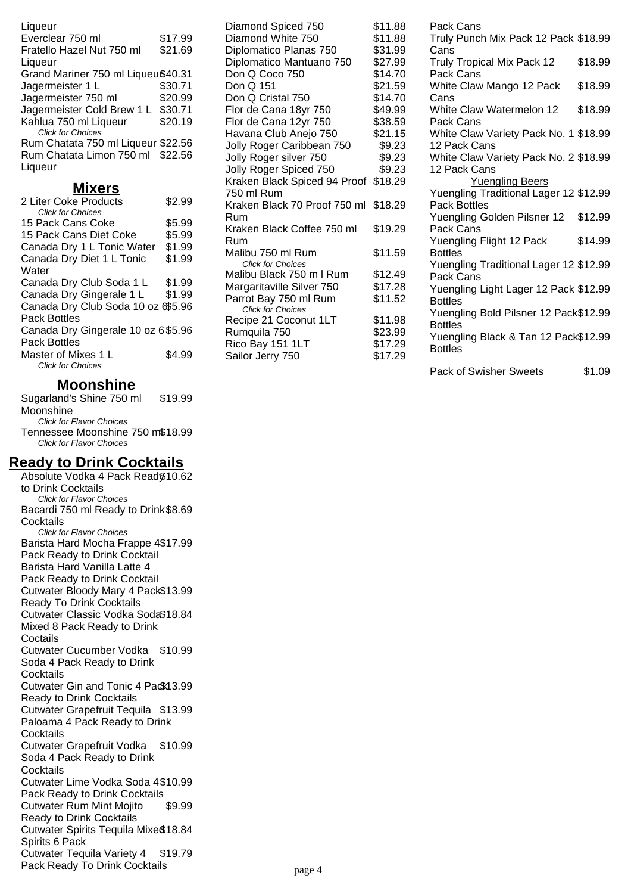Liqueur Everclear 750 ml \$17.99 Fratello Hazel Nut 750 ml Liqueur \$21.69 Grand Mariner 750 ml Liqueu\$40.31 Jagermeister 1 L \$30.71 Jagermeister 750 ml \$20.99 Jagermeister Cold Brew 1 L \$30.71 Kahlua 750 ml Liqueur \$20.19 Click for Choices Rum Chatata 750 ml Liqueur \$22.56 Rum Chatata Limon 750 ml \$22.56 Liqueur

#### **Mixers**

| \$2.99                              |
|-------------------------------------|
|                                     |
| \$5.99                              |
| \$5.99                              |
| \$1.99                              |
| \$1.99                              |
|                                     |
| \$1.99                              |
| \$1.99                              |
| Canada Dry Club Soda 10 oz 6\$5.96  |
|                                     |
| Canada Dry Gingerale 10 oz 6 \$5.96 |
|                                     |
| \$4.99                              |
|                                     |
|                                     |

# **Moonshine**

Sugarland's Shine 750 ml Moonshine \$19.99 Click for Flavor Choices Tennessee Moonshine 750 m\$18.99 Click for Flavor Choices

# **Ready to Drink Cocktails**

Absolute Vodka 4 Pack Ready \$10.62 to Drink Cocktails Click for Flavor Choices Bacardi 750 ml Ready to Drink \$8.69 **Cocktails** Click for Flavor Choices Barista Hard Mocha Frappe 4 \$17.99 Pack Ready to Drink Cocktail Barista Hard Vanilla Latte 4 Pack Ready to Drink Cocktail Cutwater Bloody Mary 4 Pack \$13.99 Ready To Drink Cocktails Cutwater Classic Vodka Soda \$18.84 Mixed 8 Pack Ready to Drink Coctails Cutwater Cucumber Vodka \$10.99 Soda 4 Pack Ready to Drink **Cocktails** Cutwater Gin and Tonic 4 Pack13.99 Ready to Drink Cocktails Cutwater Grapefruit Tequila \$13.99 Paloama 4 Pack Ready to Drink **Cocktails** Cutwater Grapefruit Vodka \$10.99 Soda 4 Pack Ready to Drink **Cocktails** Cutwater Lime Vodka Soda 4 \$10.99 Pack Ready to Drink Cocktails Cutwater Rum Mint Mojito Ready to Drink Cocktails \$9.99 Cutwater Spirits Tequila Mixed \$18.84 Spirits 6 Pack Cutwater Tequila Variety 4 Pack Ready To Drink Cocktails \$19.79 Diamond Spiced 750 \$11.88 Diamond White 750 \$11.88 Diplomatico Planas 750 \$31.99 Diplomatico Mantuano 750 \$27.99 Don Q Coco 750 \$14.70 Don Q 151 \$21.59 Don Q Cristal 750 \$14.70 Flor de Cana 18yr 750 \$49.99 Flor de Cana 12yr 750 \$38.59 Havana Club Anejo 750 \$21.15 Jolly Roger Caribbean 750 \$9.23 Jolly Roger silver 750 \$9.23 Jolly Roger Spiced 750 \$9.23 Kraken Black Spiced 94 Proof \$18.29 750 ml Rum Kraken Black 70 Proof 750 ml \$18.29 Rum Kraken Black Coffee 750 ml Rum \$19.29 Malibu 750 ml Rum \$11.59 Click for Choices Malibu Black 750 m I Rum \$12.49 Margaritaville Silver 750 \$17.28 Parrot Bay 750 ml Rum \$11.52 Click for Choices Recipe 21 Coconut 1LT \$11.98 Rumquila 750 \$23.99 Rico Bay 151 1LT \$17.29 Sailor Jerry 750 \$17.29

Pack Cans Truly Punch Mix Pack 12 Pack \$18.99 Cans Truly Tropical Mix Pack 12 Pack Cans \$18.99 White Claw Mango 12 Pack Cans \$18.99 White Claw Watermelon 12 Pack Cans \$18.99 White Claw Variety Pack No. 1 \$18.99 12 Pack Cans White Claw Variety Pack No. 2 \$18.99 12 Pack Cans Yuengling Beers Yuengling Traditional Lager 12 \$12.99 Pack Bottles Yuengling Golden Pilsner 12 Pack Cans \$12.99 Yuengling Flight 12 Pack Bottles \$14.99 Yuengling Traditional Lager 12 \$12.99 Pack Cans Yuengling Light Lager 12 Pack \$12.99 Bottles Yuengling Bold Pilsner 12 Pack \$12.99 Bottles Yuengling Black & Tan 12 Pack \$12.99 Bottles

Pack of Swisher Sweets \$1.09